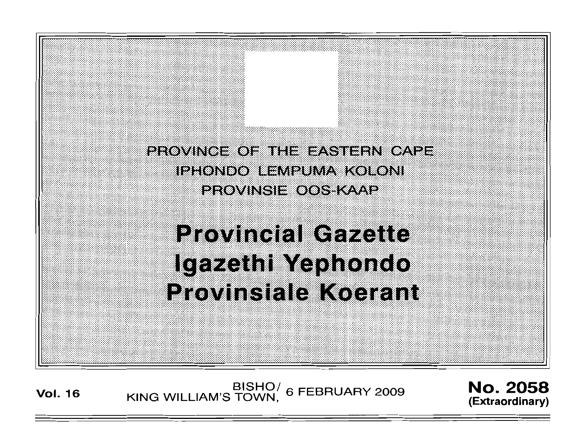PROVINCE OF THE EASTERN CAPE IPHONDO IL MPUMA KOLONI **PROVINSIE OOS KAAP** 

# **Provincial Gazette** Igazethi Yephondo **Provinsiale Koerant**

BISHO<sup>/</sup> 6 FEBRUARY 2009 **No. 2058**<br>Vol. 16 KING WILLIAM'S TOWN, 6 FEBRUARY 2009 *(Extremalinary*)

**(Extraordinary)**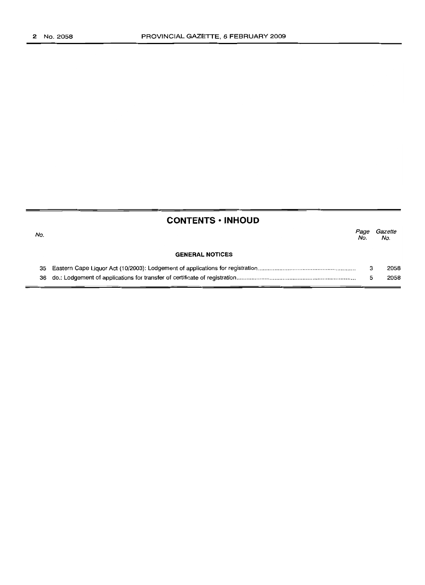|     | <b>CONTENTS • INHOUD</b> |             |                |  |
|-----|--------------------------|-------------|----------------|--|
| No. |                          | Page<br>No. | Gazette<br>No. |  |
|     | <b>GENERAL NOTICES</b>   |             |                |  |
| 35  |                          | з           | 2058           |  |
| 36  |                          | 5           | 2058           |  |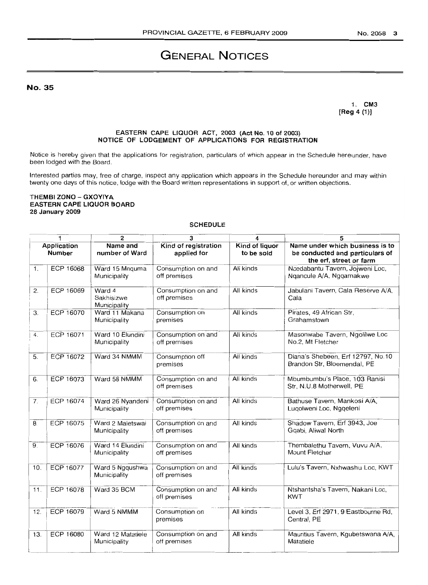# **GENERAL NOTICES**

No. 35

1. CM3 [Reg 4 (1)]

#### EASTERN CAPE LIQUOR ACT, 2003 (Act No. 10 of 2003) NOTICE OF LODGEMENT OF APPLICATIONS FOR REGISTRATION

Notice is hereby given that the applications for registration, particulars of which appear in the Schedule hereunder, have been lodged with the Board.

Interested parties may, free of charge, inspect any application which appears in the Schedule hereunder and may within twenty one days of this notice, lodge with the Board written representations in support of, or written objections.

#### THEMBI ZONO - GXOYIYA EASTERN CAPE LIQUOR BOARD 28 January 2009

#### SCHEDULE

| <b>SCHEDULE</b>              |                  |                                      |                                     |                              |                                                                                               |  |
|------------------------------|------------------|--------------------------------------|-------------------------------------|------------------------------|-----------------------------------------------------------------------------------------------|--|
| 1<br>2                       |                  |                                      | 3<br>4                              |                              | 5                                                                                             |  |
| Application<br><b>Number</b> |                  | Name and<br>number of Ward           | Kind of registration<br>applied for | Kind of liquor<br>to be sold | Name under which business is to<br>be conducted and particulars of<br>the erf, street or farm |  |
| 1.                           | ECP 16068        | Ward 15 Mnquma<br>Municipality       | Consumption on and<br>off premises  | All kinds                    | Ncedabantu Tavern, Jojweni Loc,<br>Ngancule A/A, Nggamakwe                                    |  |
| 2.                           | ECP 16069        | Ward 4<br>Sakhisizwe<br>Municipality | Consumption on and<br>off premises  | All kinds                    | Jabulani Tavern, Cala Reserve A/A,<br>Cala                                                    |  |
| 3.                           | <b>ECP 16070</b> | Ward 11 Makana<br>Municipality       | Consumption on<br>premises          | All kinds                    | Pirates, 49 African Str,<br>Grahamstown                                                       |  |
| 4.                           | ECP 16071        | Ward 10 Elundini<br>Municipality     | Consumption on and<br>off premises  | All kinds                    | Masonwabe Tavern, Ngolilwe Loc<br>No.2, Mt Fletcher                                           |  |
| 5.                           | <b>ECP 16072</b> | Ward 34 NMMM                         | Consumption off<br>premises         | All kinds                    | Diana's Shebeen, Erf 12797, No.10<br>Brandon Str, Bloemendal, PE                              |  |
| 6.                           | <b>ECP 16073</b> | Ward 58 NMMM                         | Consumption on and<br>off premises  | All kinds                    | Mbumbumbu's Place, 103 Ranisi<br>Str, N.U.8 Motherwell, PE                                    |  |
| 7.                           | ECP 16074        | Ward 26 Nyandeni<br>Municipality     | Consumption on and<br>off premises  | All kinds                    | Bathuse Tavern, Mankosi A/A,<br>Luqolweni Loc, Ngqeleni                                       |  |
| $\overline{8}$ .             | <b>ECP 16075</b> | Ward 2 Maletswai<br>Municipality     | Consumption on and<br>off premises  | All kinds                    | Shadow Tavern, Erf 3943, Joe<br>Gqabi, Aliwal North                                           |  |
| 9.                           | <b>ECP 16076</b> | Ward 14 Elundini<br>Municipality     | Consumption on and<br>off premises  | All kinds                    | Thembalethu Tavern, Vuvu A/A,<br>Mount Fletcher                                               |  |
| 10.                          | ECP 16077        | Ward 5 Ngqushwa<br>Municipality      | Consumption on and<br>off premises  | All kinds                    | Lulu's Tavern, Nxhwashu Loc, KWT                                                              |  |
| $\overline{11}$ .            | <b>ECP 16078</b> | Ward 35 BCM                          | Consumption on and<br>off premises  | All kinds                    | Ntshantsha's Tavern, Nakani Loc,<br>KWT                                                       |  |
| 12.                          | <b>ECP 16079</b> | Ward 5 NMMM                          | Consumption on<br>premises          | All kinds                    | Level 3, Erf 2971, 9 Eastbourne Rd,<br>Central, PE                                            |  |
| 13.                          | ECP 16080        | Ward 12 Matatiele<br>Municipality    | Consumption on and<br>off premises  | All kinds                    | Mauritius Tavern, Kgubetswana A/A,<br>Matatiele                                               |  |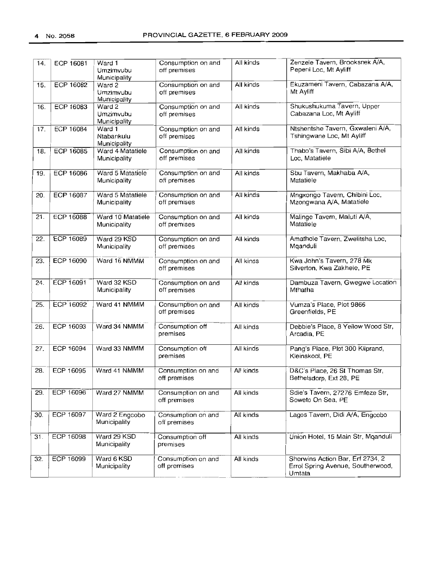| 14. | ECP 16081        | $\overline{\text{Ward}}$ 1<br>Umzimvubu<br>Municipality | Consumption on and<br>off premises | All kinds | Zenzele Tavern, Brooksnek A/A,<br>Pepeni Loc, Mt Ayliff                         |  |
|-----|------------------|---------------------------------------------------------|------------------------------------|-----------|---------------------------------------------------------------------------------|--|
| 15. | <b>ECP 16082</b> | Ward 2<br>Umzimvubu<br>Municipality                     | Consumption on and<br>off premises | All kinds | Ekuzameni Tavern, Cabazana A/A,<br>Mt Ayliff                                    |  |
| 16. | <b>ECP 16083</b> | Ward 2<br>Umzimvubu<br>Municipality                     | Consumption on and<br>off premises | All kinds | Shukushukuma Tavern, Upper<br>Cabazana Loc, Mt Ayliff                           |  |
| 17. | <b>ECP 16084</b> | Ward 1<br>Ntabankulu<br>Municipality                    | Consumption on and<br>off premises | All kinds | Ntshentshe Tavern, Gxwaleni A/A,<br>Tshingwane Loc, Mt Ayliff                   |  |
| 18. | <b>ECP 16085</b> | Ward 4 Matatiele<br>Municipality                        | Consumption on and<br>off premises | All kinds | Thabo's Tavern, Sibi A/A, Bethel<br>Loc, Matatiele                              |  |
| 19. | ECP 16086        | Ward 5 Matatiele<br>Municipality                        | Consumption on and<br>off premises | All kinds | Sbu Tavern, Makhaba A/A,<br>Matatiele                                           |  |
| 20. | ECP 16087        | Ward 5 Matatiele<br>Municipality                        | Consumption on and<br>off premises | All kinds | Mngxongo Tavern, Chibini Loc,<br>Mzongwana A/A, Matatiele                       |  |
| 21. | <b>ECP 16088</b> | Ward 10 Matatiele<br>Municipality                       | Consumption on and<br>off premises | All kinds | Malinge Tavern, Maluti A/A,<br>Matatiele                                        |  |
| 22. | <b>ECP 16089</b> | Ward 29 KSD<br>Municipality                             | Consumption on and<br>off premises | All kinds | Amathole Tavern, Zwelitsha Loc,<br>Mqanduli                                     |  |
| 23. | <b>ECP 16090</b> | Ward 16 NMMM                                            | Consumption on and<br>off premises | All kinds | Kwa John's Tavern, 278 Mk<br>Silverton, Kwa Zakhele, PE                         |  |
| 24. | ECP 16091        | Ward 32 KSD<br>Municipality                             | Consumption on and<br>off premises | All kinds | Dambuza Tavern, Gwegwe Location<br>Mthatha                                      |  |
| 25. | <b>ECP 16092</b> | Ward 41 NMMM                                            | Consumption on and<br>off premises | All kinds | Vumza's Place, Plot 9866<br>Greenfields, PE                                     |  |
| 26. | ECP 16093        | Ward 34 NMMM                                            | Consumption off<br>premises        | All kinds | Debbie's Place, 8 Yellow Wood Str,<br>Arcadia, PE                               |  |
| 27. | ECP 16094        | Ward 33 NMMM                                            | Consumption off<br>premises        | All kinds | Pang's Place, Plot 300 Kliprand,<br>Kleinskool, PE                              |  |
| 28. | ECP 16095        | Ward 41 NMMM                                            | Consumption on and<br>off premises | All kinds | D&C's Place, 26 St Thomas Str,<br>Bethelsdorp, Ext 28, PE                       |  |
| 29. | <b>ECP 16096</b> | Ward 27 NMMM                                            | Consumption on and<br>off premises | All kinds | Sdie's Tavern, 27276 Emfeze Str,<br>Soweto On Sea, PE                           |  |
| 30. | <b>ECP 16097</b> | Ward 2 Engcobo<br>Municipality                          | Consumption on and<br>off premises | All kinds | Lagos Tavern, Didi A/A, Engcobo                                                 |  |
| 31. | ECP 16098        | Ward 29 KSD<br>Municipality                             | Consumption off<br>premises        | All kinds | Union Hotel, 15 Main Str, Mqanduli                                              |  |
| 32. | ECP 16099        | Ward 6 KSD<br>Municipality                              | Consumption on and<br>off premises | All kinds | Sherwins Action Bar, Erf 2734, 2<br>Errol Spring Avenue, Southerwood,<br>Umtata |  |